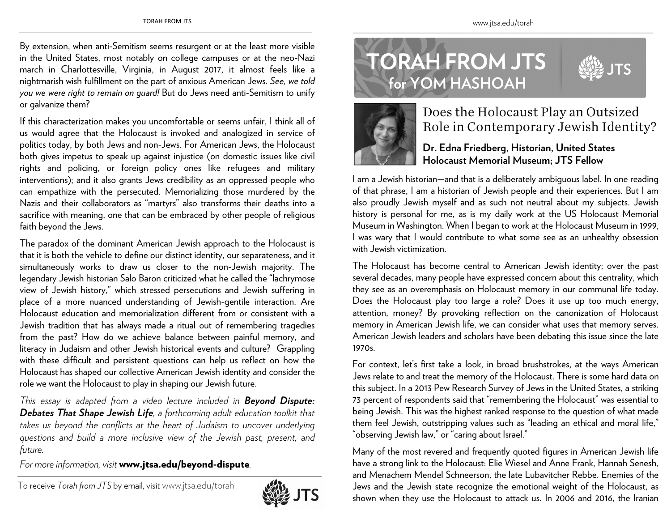**for YOM HASHOAH** 

**TORAH FROM JTS** 



## Does the Holocaust Play an Outsized Role in Contemporary Jewish Identity?

## **Dr. Edna Friedberg, Historian, United States Holocaust Memorial Museum; JTS Fellow**

I am a Jewish historian—and that is a deliberately ambiguous label. In one reading of that phrase, I am a historian of Jewish people and their experiences. But I am also proudly Jewish myself and as such not neutral about my subjects. Jewish history is personal for me, as is my daily work at the US Holocaust Memorial Museum in Washington. When I began to work at the Holocaust Museum in 1999, I was wary that I would contribute to what some see as an unhealthy obsession with Jewish victimization.

The Holocaust has become central to American Jewish identity; over the past several decades, many people have expressed concern about this centrality, which they see as an overemphasis on Holocaust memory in our communal life today. Does the Holocaust play too large a role? Does it use up too much energy, attention, money? By provoking reflection on the canonization of Holocaust memory in American Jewish life, we can consider what uses that memory serves. American Jewish leaders and scholars have been debating this issue since the late 1970s.

For context, let's first take a look, in broad brushstrokes, at the ways American Jews relate to and treat the memory of the Holocaust. There is some hard data on this subject. In a 2013 Pew Research Survey of Jews in the United States, a striking 73 percent of respondents said that "remembering the Holocaust" was essential to being Jewish. This was the highest ranked response to the question of what made them feel Jewish, outstripping values such as "leading an ethical and moral life," "observing Jewish law," or "caring about Israel."

Many of the most revered and frequently quoted figures in American Jewish life have a strong link to the Holocaust: Elie Wiesel and Anne Frank, Hannah Senesh, and Menachem Mendel Schneerson, the late Lubavitcher Rebbe. Enemies of the Jews and the Jewish state recognize the emotional weight of the Holocaust, as shown when they use the Holocaust to attack us. In 2006 and 2016, the Iranian

By extension, when anti-Semitism seems resurgent or at the least more visible in the United States, most notably on college campuses or at the neo-Nazi march in Charlottesville, Virginia, in August 2017, it almost feels like a nightmarish wish fulfillment on the part of anxious American Jews. *See, we told you we were right to remain on guard!* But do Jews need anti-Semitism to unify or galvanize them?

If this characterization makes you uncomfortable or seems unfair, I think all of us would agree that the Holocaust is invoked and analogized in service of politics today, by both Jews and non-Jews. For American Jews, the Holocaust both gives impetus to speak up against injustice (on domestic issues like civil rights and policing, or foreign policy ones like refugees and military interventions); and it also grants Jews credibility as an oppressed people who can empathize with the persecuted. Memorializing those murdered by the Nazis and their collaborators as "martyrs" also transforms their deaths into a sacrifice with meaning, one that can be embraced by other people of religious faith beyond the Jews.

The paradox of the dominant American Jewish approach to the Holocaust is that it is both the vehicle to define our distinct identity, our separateness, and it simultaneously works to draw us closer to the non-Jewish majority. The legendary Jewish historian Salo Baron criticized what he called the "lachrymose view of Jewish history," which stressed persecutions and Jewish suffering in <sup>p</sup>lace of a more nuanced understanding of Jewish-gentile interaction. Are Holocaust education and memorialization different from or consistent with a Jewish tradition that has always made a ritual out of remembering tragedies from the past? How do we achieve balance between painful memory, and literacy in Judaism and other Jewish historical events and culture? Grappling with these difficult and persistent questions can help us reflect on how the Holocaust has shaped our collective American Jewish identity and consider the role we want the Holocaust to play in shaping our Jewish future.

*This essay is adapted from a video lecture included in Beyond Dispute: Debates That Shape Jewish Life, a forthcoming adult education toolkit that*  takes us beyond the conflicts at the heart of Judaism to uncover underlying *questions and build a more inclusive view of the Jewish past, present, and future.* 

*For more information, visit* www.jtsa.edu/beyond-dispute*.*